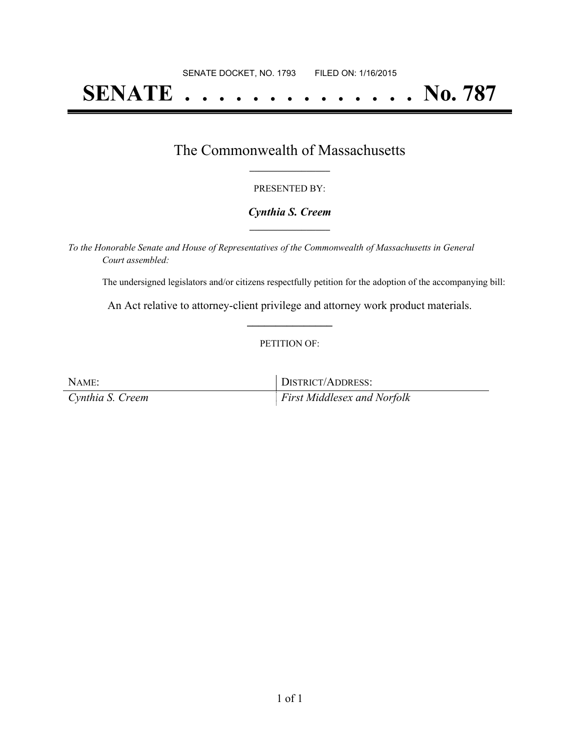# **SENATE . . . . . . . . . . . . . . No. 787**

### The Commonwealth of Massachusetts **\_\_\_\_\_\_\_\_\_\_\_\_\_\_\_\_\_**

#### PRESENTED BY:

#### *Cynthia S. Creem* **\_\_\_\_\_\_\_\_\_\_\_\_\_\_\_\_\_**

*To the Honorable Senate and House of Representatives of the Commonwealth of Massachusetts in General Court assembled:*

The undersigned legislators and/or citizens respectfully petition for the adoption of the accompanying bill:

An Act relative to attorney-client privilege and attorney work product materials. **\_\_\_\_\_\_\_\_\_\_\_\_\_\_\_**

#### PETITION OF:

| NAME:            | DISTRICT/ADDRESS:                  |
|------------------|------------------------------------|
| Cynthia S. Creem | <i>First Middlesex and Norfolk</i> |